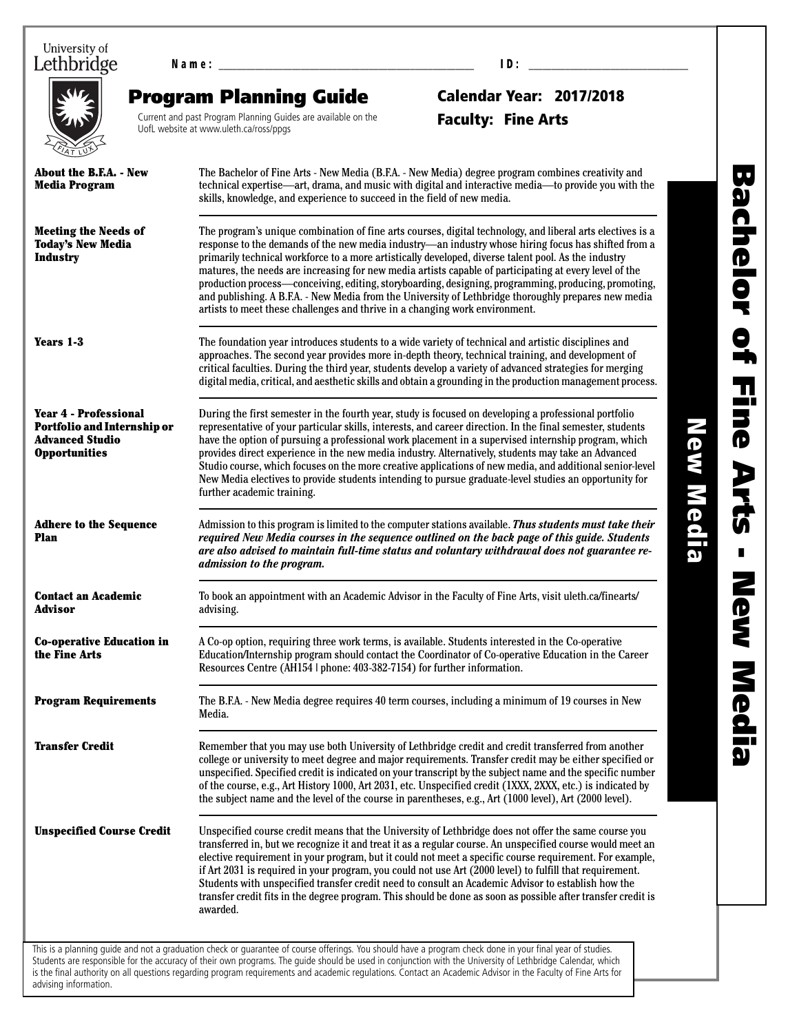University of Lethbridge

N a m e : \_\_\_\_\_\_\_\_\_\_\_\_\_\_\_\_\_\_\_\_\_\_\_\_\_\_\_\_\_\_\_\_\_\_\_\_\_\_\_\_\_\_\_\_\_\_\_\_\_\_\_\_\_\_\_\_ I D : \_\_\_\_\_\_\_\_\_\_\_\_\_\_\_\_\_\_\_\_\_\_\_\_\_\_\_\_\_\_\_\_\_\_\_

advising information.

Program Planning Guide

Current and past Program Planning Guides are available on the UofL website at www.uleth.ca/ross/ppgs

# Calendar Year: 2017/2018 Faculty: Fine Arts

| About the B.F.A. - New<br><b>Media Program</b>                                                                                                                                                                                                                                                                                                                                                                                                                                                                                                                                                                                                                                                                                                                                                                   | The Bachelor of Fine Arts - New Media (B.F.A. - New Media) degree program combines creativity and<br>technical expertise—art, drama, and music with digital and interactive media—to provide you with the<br>skills, knowledge, and experience to succeed in the field of new media.                                                                                                                                                                                                                                                                                                                                                                                                |  |  |  |
|------------------------------------------------------------------------------------------------------------------------------------------------------------------------------------------------------------------------------------------------------------------------------------------------------------------------------------------------------------------------------------------------------------------------------------------------------------------------------------------------------------------------------------------------------------------------------------------------------------------------------------------------------------------------------------------------------------------------------------------------------------------------------------------------------------------|-------------------------------------------------------------------------------------------------------------------------------------------------------------------------------------------------------------------------------------------------------------------------------------------------------------------------------------------------------------------------------------------------------------------------------------------------------------------------------------------------------------------------------------------------------------------------------------------------------------------------------------------------------------------------------------|--|--|--|
| <b>Meeting the Needs of</b><br>The program's unique combination of fine arts courses, digital technology, and liberal arts electives is a<br><b>Today's New Media</b><br>response to the demands of the new media industry—an industry whose hiring focus has shifted from a<br><b>Industry</b><br>primarily technical workforce to a more artistically developed, diverse talent pool. As the industry<br>matures, the needs are increasing for new media artists capable of participating at every level of the<br>production process—conceiving, editing, storyboarding, designing, programming, producing, promoting,<br>and publishing. A B.F.A. - New Media from the University of Lethbridge thoroughly prepares new media<br>artists to meet these challenges and thrive in a changing work environment. |                                                                                                                                                                                                                                                                                                                                                                                                                                                                                                                                                                                                                                                                                     |  |  |  |
| Years 1-3                                                                                                                                                                                                                                                                                                                                                                                                                                                                                                                                                                                                                                                                                                                                                                                                        | The foundation year introduces students to a wide variety of technical and artistic disciplines and<br>approaches. The second year provides more in-depth theory, technical training, and development of<br>critical faculties. During the third year, students develop a variety of advanced strategies for merging<br>digital media, critical, and aesthetic skills and obtain a grounding in the production management process.                                                                                                                                                                                                                                                  |  |  |  |
| <b>Year 4 - Professional</b><br><b>Portfolio and Internship or</b><br><b>Advanced Studio</b><br><b>Opportunities</b>                                                                                                                                                                                                                                                                                                                                                                                                                                                                                                                                                                                                                                                                                             | During the first semester in the fourth year, study is focused on developing a professional portfolio<br>representative of your particular skills, interests, and career direction. In the final semester, students<br>have the option of pursuing a professional work placement in a supervised internship program, which<br>provides direct experience in the new media industry. Alternatively, students may take an Advanced<br>Studio course, which focuses on the more creative applications of new media, and additional senior-level<br>New Media electives to provide students intending to pursue graduate-level studies an opportunity for<br>further academic training. |  |  |  |
| <b>Adhere to the Sequence</b><br>Plan                                                                                                                                                                                                                                                                                                                                                                                                                                                                                                                                                                                                                                                                                                                                                                            | Admission to this program is limited to the computer stations available. Thus students must take their<br>required New Media courses in the sequence outlined on the back page of this guide. Students<br>are also advised to maintain full-time status and voluntary withdrawal does not guarantee re-<br>admission to the program.                                                                                                                                                                                                                                                                                                                                                |  |  |  |
| <b>Contact an Academic</b><br>Advisor                                                                                                                                                                                                                                                                                                                                                                                                                                                                                                                                                                                                                                                                                                                                                                            | To book an appointment with an Academic Advisor in the Faculty of Fine Arts, visit uleth.ca/finearts/<br>advising.                                                                                                                                                                                                                                                                                                                                                                                                                                                                                                                                                                  |  |  |  |
| <b>Co-operative Education in</b><br>the Fine Arts                                                                                                                                                                                                                                                                                                                                                                                                                                                                                                                                                                                                                                                                                                                                                                | A Co-op option, requiring three work terms, is available. Students interested in the Co-operative<br>Education/Internship program should contact the Coordinator of Co-operative Education in the Career<br>Resources Centre (AH154   phone: 403-382-7154) for further information.                                                                                                                                                                                                                                                                                                                                                                                                 |  |  |  |
| The B.F.A. - New Media degree requires 40 term courses, including a minimum of 19 courses in New<br><b>Program Requirements</b><br>Media.                                                                                                                                                                                                                                                                                                                                                                                                                                                                                                                                                                                                                                                                        |                                                                                                                                                                                                                                                                                                                                                                                                                                                                                                                                                                                                                                                                                     |  |  |  |
| <b>Transfer Credit</b>                                                                                                                                                                                                                                                                                                                                                                                                                                                                                                                                                                                                                                                                                                                                                                                           | Remember that you may use both University of Lethbridge credit and credit transferred from another<br>college or university to meet degree and major requirements. Transfer credit may be either specified or<br>unspecified. Specified credit is indicated on your transcript by the subject name and the specific number<br>of the course, e.g., Art History 1000, Art 2031, etc. Unspecified credit (1XXX, 2XXX, etc.) is indicated by<br>the subject name and the level of the course in parentheses, e.g., Art (1000 level), Art (2000 level).                                                                                                                                 |  |  |  |
| <b>Unspecified Course Credit</b>                                                                                                                                                                                                                                                                                                                                                                                                                                                                                                                                                                                                                                                                                                                                                                                 | Unspecified course credit means that the University of Lethbridge does not offer the same course you<br>transferred in, but we recognize it and treat it as a regular course. An unspecified course would meet an<br>elective requirement in your program, but it could not meet a specific course requirement. For example,<br>if Art 2031 is required in your program, you could not use Art (2000 level) to fulfill that requirement.<br>Students with unspecified transfer credit need to consult an Academic Advisor to establish how the<br>transfer credit fits in the degree program. This should be done as soon as possible after transfer credit is<br>awarded.          |  |  |  |

is the final authority on all questions regarding program requirements and academic regulations. Contact an Academic Advisor in the Faculty of Fine Arts for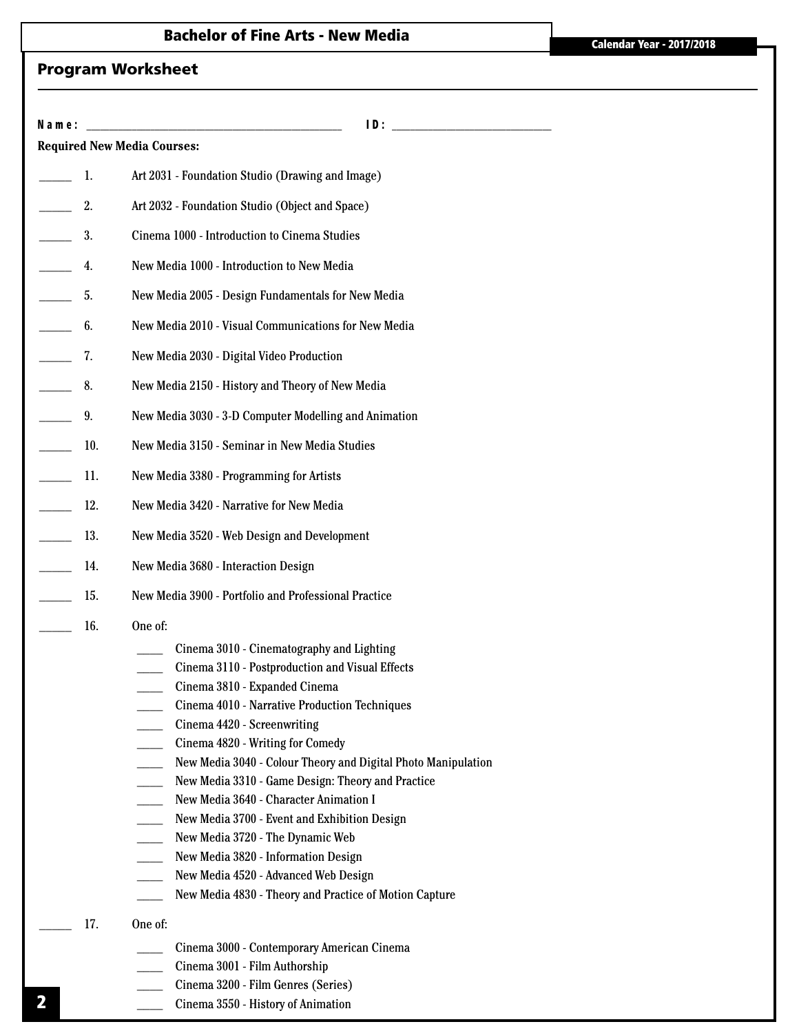# Program Worksheet

| Name: |                                                               |  |  |  |
|-------|---------------------------------------------------------------|--|--|--|
|       | <b>Required New Media Courses:</b>                            |  |  |  |
| 1.    | Art 2031 - Foundation Studio (Drawing and Image)              |  |  |  |
| 2.    | Art 2032 - Foundation Studio (Object and Space)               |  |  |  |
| 3.    | Cinema 1000 - Introduction to Cinema Studies                  |  |  |  |
| 4.    | New Media 1000 - Introduction to New Media                    |  |  |  |
| 5.    | New Media 2005 - Design Fundamentals for New Media            |  |  |  |
| 6.    | New Media 2010 - Visual Communications for New Media          |  |  |  |
| 7.    | New Media 2030 - Digital Video Production                     |  |  |  |
| 8.    | New Media 2150 - History and Theory of New Media              |  |  |  |
| 9.    | New Media 3030 - 3-D Computer Modelling and Animation         |  |  |  |
| 10.   | New Media 3150 - Seminar in New Media Studies                 |  |  |  |
| 11.   | New Media 3380 - Programming for Artists                      |  |  |  |
| 12.   | New Media 3420 - Narrative for New Media                      |  |  |  |
| 13.   | New Media 3520 - Web Design and Development                   |  |  |  |
| 14.   | New Media 3680 - Interaction Design                           |  |  |  |
| 15.   | New Media 3900 - Portfolio and Professional Practice          |  |  |  |
|       | One of:                                                       |  |  |  |
| 16.   | Cinema 3010 - Cinematography and Lighting                     |  |  |  |
|       | Cinema 3110 - Postproduction and Visual Effects               |  |  |  |
|       | Cinema 3810 - Expanded Cinema                                 |  |  |  |
|       | Cinema 4010 - Narrative Production Techniques                 |  |  |  |
|       | Cinema 4420 - Screenwriting                                   |  |  |  |
|       | Cinema 4820 - Writing for Comedy                              |  |  |  |
|       | New Media 3040 - Colour Theory and Digital Photo Manipulation |  |  |  |
|       | New Media 3310 - Game Design: Theory and Practice             |  |  |  |
|       | New Media 3640 - Character Animation I                        |  |  |  |
|       | New Media 3700 - Event and Exhibition Design                  |  |  |  |
|       | New Media 3720 - The Dynamic Web                              |  |  |  |
|       | New Media 3820 - Information Design                           |  |  |  |
|       | New Media 4520 - Advanced Web Design                          |  |  |  |
|       | New Media 4830 - Theory and Practice of Motion Capture        |  |  |  |
| 17.   | One of:                                                       |  |  |  |
|       | Cinema 3000 - Contemporary American Cinema                    |  |  |  |
|       | Cinema 3001 - Film Authorship                                 |  |  |  |
|       | Cinema 3200 - Film Genres (Series)                            |  |  |  |

\_\_\_\_ Cinema 3550 - History of Animation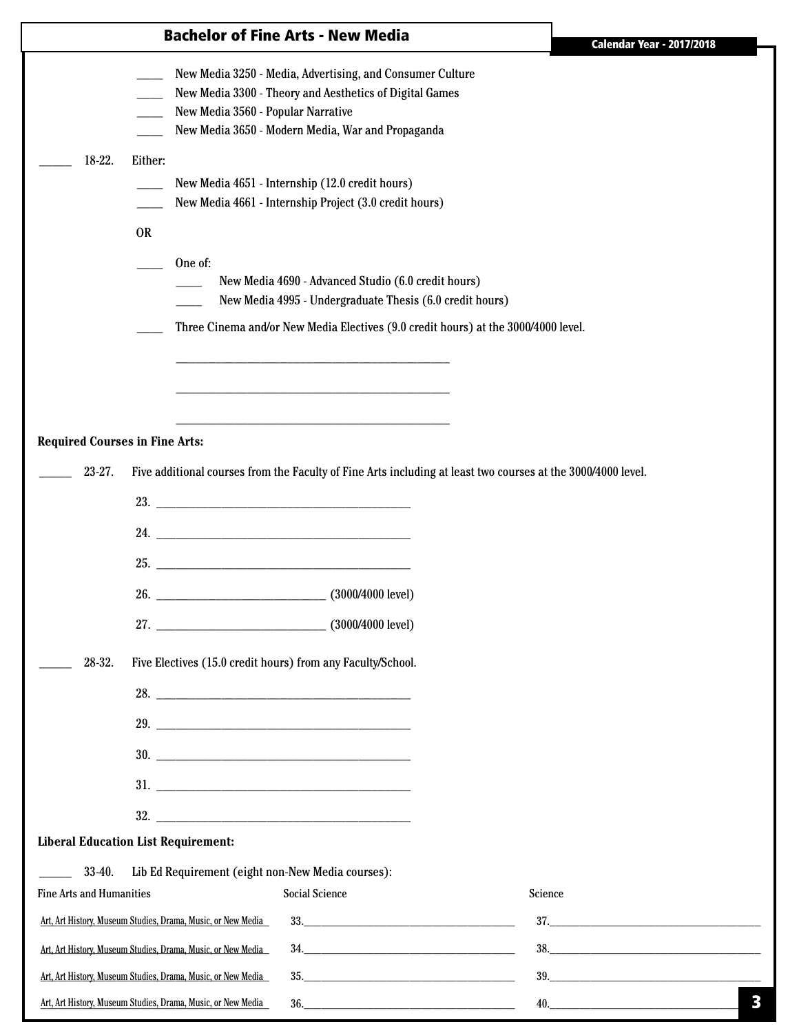|                                                              |                                                                                                                                                                                                                                            | <b>Bachelor of Fine Arts - New Media</b>                                                                                                                                  | <b>Calendar Year - 2017/2018</b> |
|--------------------------------------------------------------|--------------------------------------------------------------------------------------------------------------------------------------------------------------------------------------------------------------------------------------------|---------------------------------------------------------------------------------------------------------------------------------------------------------------------------|----------------------------------|
|                                                              | New Media 3560 - Popular Narrative                                                                                                                                                                                                         | New Media 3250 - Media, Advertising, and Consumer Culture<br>New Media 3300 - Theory and Aesthetics of Digital Games<br>New Media 3650 - Modern Media, War and Propaganda |                                  |
| 18-22.                                                       | Either:<br><b>OR</b>                                                                                                                                                                                                                       | New Media 4651 - Internship (12.0 credit hours)<br>New Media 4661 - Internship Project (3.0 credit hours)                                                                 |                                  |
|                                                              | One of:                                                                                                                                                                                                                                    | New Media 4690 - Advanced Studio (6.0 credit hours)<br>New Media 4995 - Undergraduate Thesis (6.0 credit hours)                                                           |                                  |
|                                                              |                                                                                                                                                                                                                                            | Three Cinema and/or New Media Electives (9.0 credit hours) at the 3000/4000 level.                                                                                        |                                  |
| <b>Required Courses in Fine Arts:</b><br>23-27.              |                                                                                                                                                                                                                                            | Five additional courses from the Faculty of Fine Arts including at least two courses at the 3000/4000 level.                                                              |                                  |
|                                                              | 24.                                                                                                                                                                                                                                        |                                                                                                                                                                           |                                  |
|                                                              | <b>25.</b> The contract of the contract of the contract of the contract of the contract of the contract of the contract of the contract of the contract of the contract of the contract of the contract of the contract of the cont<br>26. | $(3000/4000$ level)                                                                                                                                                       |                                  |
|                                                              |                                                                                                                                                                                                                                            |                                                                                                                                                                           |                                  |
| 28-32.                                                       | Five Electives (15.0 credit hours) from any Faculty/School.<br>28.                                                                                                                                                                         |                                                                                                                                                                           |                                  |
|                                                              | 30.                                                                                                                                                                                                                                        |                                                                                                                                                                           |                                  |
|                                                              | <b>Liberal Education List Requirement:</b>                                                                                                                                                                                                 |                                                                                                                                                                           |                                  |
|                                                              |                                                                                                                                                                                                                                            |                                                                                                                                                                           |                                  |
| 33-40.<br><b>Fine Arts and Humanities</b>                    | Lib Ed Requirement (eight non-New Media courses):                                                                                                                                                                                          | <b>Social Science</b>                                                                                                                                                     | Science                          |
| Art, Art History, Museum Studies, Drama, Music, or New Media |                                                                                                                                                                                                                                            |                                                                                                                                                                           | 37.                              |
|                                                              | Art, Art History, Museum Studies, Drama, Music, or New Media                                                                                                                                                                               | $34. \underline{\hspace{2cm}}$                                                                                                                                            |                                  |
|                                                              | Art, Art History, Museum Studies, Drama, Music, or New Media                                                                                                                                                                               | 35.                                                                                                                                                                       |                                  |
|                                                              | Art, Art History, Museum Studies, Drama, Music, or New Media                                                                                                                                                                               | 36.                                                                                                                                                                       | 40.                              |